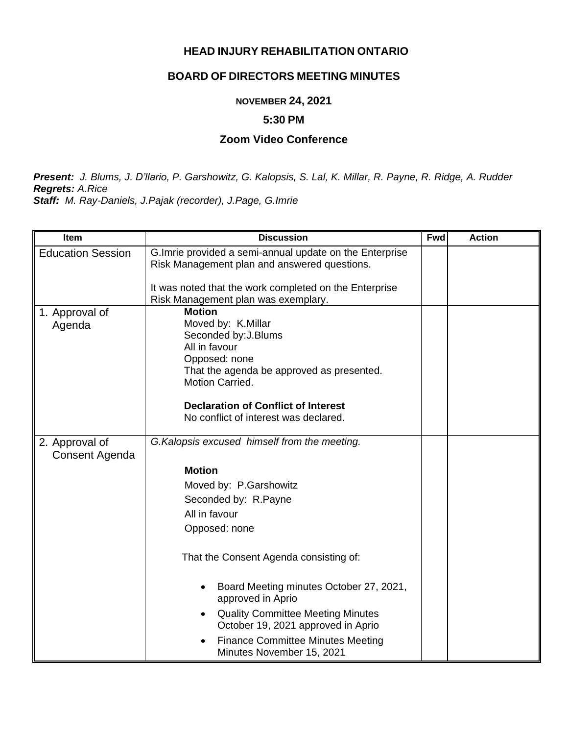## **HEAD INJURY REHABILITATION ONTARIO**

# **BOARD OF DIRECTORS MEETING MINUTES**

### **NOVEMBER 24, 2021**

#### **5:30 PM**

#### **Zoom Video Conference**

*Present: J. Blums, J. D'llario, P. Garshowitz, G. Kalopsis, S. Lal, K. Millar, R. Payne, R. Ridge, A. Rudder Regrets: A.Rice*

*Staff: M. Ray-Daniels, J.Pajak (recorder), J.Page, G.Imrie*

| Item                     | <b>Discussion</b>                                                     | <b>Fwd</b> | <b>Action</b> |
|--------------------------|-----------------------------------------------------------------------|------------|---------------|
| <b>Education Session</b> | G. Imrie provided a semi-annual update on the Enterprise              |            |               |
|                          | Risk Management plan and answered questions.                          |            |               |
|                          | It was noted that the work completed on the Enterprise                |            |               |
|                          | Risk Management plan was exemplary.                                   |            |               |
| 1. Approval of           | <b>Motion</b>                                                         |            |               |
| Agenda                   | Moved by: K.Millar<br>Seconded by: J. Blums                           |            |               |
|                          | All in favour                                                         |            |               |
|                          | Opposed: none                                                         |            |               |
|                          | That the agenda be approved as presented.                             |            |               |
|                          | Motion Carried.                                                       |            |               |
|                          | <b>Declaration of Conflict of Interest</b>                            |            |               |
|                          | No conflict of interest was declared.                                 |            |               |
|                          |                                                                       |            |               |
| 2. Approval of           | G. Kalopsis excused himself from the meeting.                         |            |               |
| Consent Agenda           |                                                                       |            |               |
|                          | <b>Motion</b>                                                         |            |               |
|                          | Moved by: P.Garshowitz                                                |            |               |
|                          | Seconded by: R.Payne                                                  |            |               |
|                          | All in favour                                                         |            |               |
|                          | Opposed: none                                                         |            |               |
|                          |                                                                       |            |               |
|                          | That the Consent Agenda consisting of:                                |            |               |
|                          | Board Meeting minutes October 27, 2021,                               |            |               |
|                          | approved in Aprio                                                     |            |               |
|                          | <b>Quality Committee Meeting Minutes</b>                              |            |               |
|                          | October 19, 2021 approved in Aprio                                    |            |               |
|                          | <b>Finance Committee Minutes Meeting</b><br>Minutes November 15, 2021 |            |               |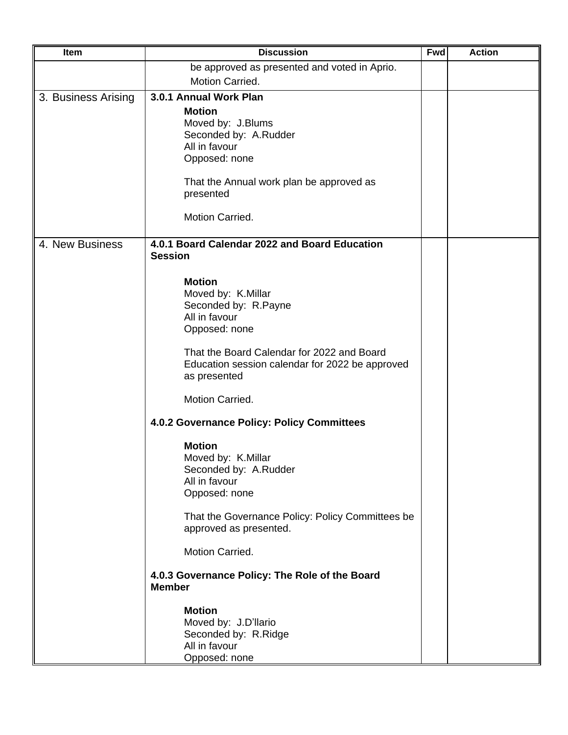| Item                | <b>Discussion</b>                                                                                                                                                                                                                                                                                                                                                                                                                     | <b>Fwd</b> | <b>Action</b> |
|---------------------|---------------------------------------------------------------------------------------------------------------------------------------------------------------------------------------------------------------------------------------------------------------------------------------------------------------------------------------------------------------------------------------------------------------------------------------|------------|---------------|
|                     | be approved as presented and voted in Aprio.                                                                                                                                                                                                                                                                                                                                                                                          |            |               |
|                     | Motion Carried.                                                                                                                                                                                                                                                                                                                                                                                                                       |            |               |
| 3. Business Arising | 3.0.1 Annual Work Plan<br><b>Motion</b><br>Moved by: J.Blums<br>Seconded by: A.Rudder<br>All in favour<br>Opposed: none<br>That the Annual work plan be approved as<br>presented<br>Motion Carried.                                                                                                                                                                                                                                   |            |               |
| 4. New Business     | 4.0.1 Board Calendar 2022 and Board Education<br><b>Session</b>                                                                                                                                                                                                                                                                                                                                                                       |            |               |
|                     | <b>Motion</b><br>Moved by: K.Millar<br>Seconded by: R.Payne<br>All in favour<br>Opposed: none<br>That the Board Calendar for 2022 and Board<br>Education session calendar for 2022 be approved<br>as presented<br>Motion Carried.<br>4.0.2 Governance Policy: Policy Committees<br><b>Motion</b><br>Moved by: K.Millar<br>Seconded by: A.Rudder<br>All in favour<br>Opposed: none<br>That the Governance Policy: Policy Committees be |            |               |
|                     | approved as presented.<br>Motion Carried.                                                                                                                                                                                                                                                                                                                                                                                             |            |               |
|                     | 4.0.3 Governance Policy: The Role of the Board<br><b>Member</b>                                                                                                                                                                                                                                                                                                                                                                       |            |               |
|                     | <b>Motion</b><br>Moved by: J.D'llario<br>Seconded by: R.Ridge<br>All in favour<br>Opposed: none                                                                                                                                                                                                                                                                                                                                       |            |               |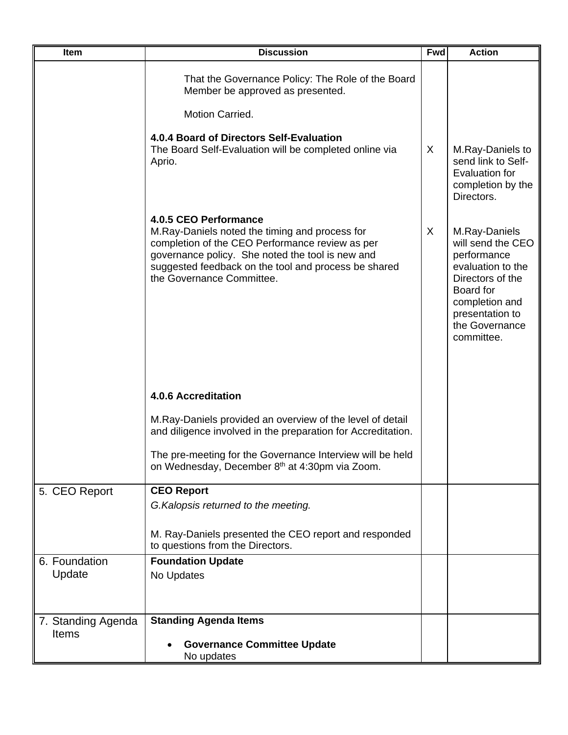| <b>Item</b>                        | <b>Discussion</b>                                                                                                                                                                                                                                                   | <b>Fwd</b> | <b>Action</b>                                                                                                                                                                |
|------------------------------------|---------------------------------------------------------------------------------------------------------------------------------------------------------------------------------------------------------------------------------------------------------------------|------------|------------------------------------------------------------------------------------------------------------------------------------------------------------------------------|
|                                    | That the Governance Policy: The Role of the Board<br>Member be approved as presented.                                                                                                                                                                               |            |                                                                                                                                                                              |
|                                    | Motion Carried.                                                                                                                                                                                                                                                     |            |                                                                                                                                                                              |
|                                    | 4.0.4 Board of Directors Self-Evaluation<br>The Board Self-Evaluation will be completed online via<br>Aprio.                                                                                                                                                        | X          | M.Ray-Daniels to<br>send link to Self-<br>Evaluation for<br>completion by the<br>Directors.                                                                                  |
|                                    | 4.0.5 CEO Performance<br>M.Ray-Daniels noted the timing and process for<br>completion of the CEO Performance review as per<br>governance policy. She noted the tool is new and<br>suggested feedback on the tool and process be shared<br>the Governance Committee. | X          | M.Ray-Daniels<br>will send the CEO<br>performance<br>evaluation to the<br>Directors of the<br>Board for<br>completion and<br>presentation to<br>the Governance<br>committee. |
|                                    | <b>4.0.6 Accreditation</b>                                                                                                                                                                                                                                          |            |                                                                                                                                                                              |
|                                    | M. Ray-Daniels provided an overview of the level of detail<br>and diligence involved in the preparation for Accreditation.                                                                                                                                          |            |                                                                                                                                                                              |
|                                    | The pre-meeting for the Governance Interview will be held<br>on Wednesday, December 8th at 4:30pm via Zoom.                                                                                                                                                         |            |                                                                                                                                                                              |
| 5. CEO Report                      | <b>CEO Report</b><br>G. Kalopsis returned to the meeting.                                                                                                                                                                                                           |            |                                                                                                                                                                              |
|                                    | M. Ray-Daniels presented the CEO report and responded<br>to questions from the Directors.                                                                                                                                                                           |            |                                                                                                                                                                              |
| 6. Foundation<br>Update            | <b>Foundation Update</b><br>No Updates                                                                                                                                                                                                                              |            |                                                                                                                                                                              |
| 7. Standing Agenda<br><b>Items</b> | <b>Standing Agenda Items</b><br><b>Governance Committee Update</b><br>No updates                                                                                                                                                                                    |            |                                                                                                                                                                              |